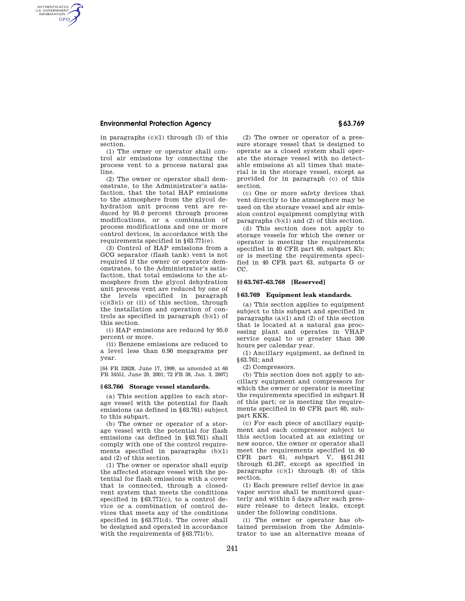# **Environmental Protection Agency § 63.769**

AUTHENTICATED<br>U.S. GOVERNMENT<br>INFORMATION **GPO** 

> in paragraphs (c)(1) through (3) of this section.

> (1) The owner or operator shall control air emissions by connecting the process vent to a process natural gas line.

> (2) The owner or operator shall demonstrate, to the Administrator's satisfaction, that the total HAP emissions to the atmosphere from the glycol dehydration unit process vent are reduced by 95.0 percent through process modifications, or a combination of process modifications and one or more control devices, in accordance with the requirements specified in §63.771(e).

> (3) Control of HAP emissions from a GCG separator (flash tank) vent is not required if the owner or operator demonstrates, to the Administrator's satisfaction, that total emissions to the atmosphere from the glycol dehydration unit process vent are reduced by one of the levels specified in paragraph  $(c)(3)(i)$  or (ii) of this section, through the installation and operation of controls as specified in paragraph (b)(1) of this section.

(i) HAP emissions are reduced by 95.0 percent or more.

(ii) Benzene emissions are reduced to a level less than 0.90 megagrams per year.

[64 FR 32628, June 17, 1999, as amended at 66 FR 34551, June 29, 2001; 72 FR 38, Jan. 3, 2007]

### **§ 63.766 Storage vessel standards.**

(a) This section applies to each storage vessel with the potential for flash emissions (as defined in §63.761) subject to this subpart.

(b) The owner or operator of a storage vessel with the potential for flash emissions (as defined in §63.761) shall comply with one of the control requirements specified in paragraphs  $\left(b\right)\!\left(1\right)$ and (2) of this section.

(1) The owner or operator shall equip the affected storage vessel with the potential for flash emissions with a cover that is connected, through a closedvent system that meets the conditions specified in  $$63.771(c)$ , to a control device or a combination of control devices that meets any of the conditions specified in §63.771(d). The cover shall be designed and operated in accordance with the requirements of §63.771(b).

(2) The owner or operator of a pressure storage vessel that is designed to operate as a closed system shall operate the storage vessel with no detectable emissions at all times that material is in the storage vessel, except as provided for in paragraph (c) of this section.

(c) One or more safety devices that vent directly to the atmosphere may be used on the storage vessel and air emission control equipment complying with paragraphs (b)(1) and (2) of this section.

(d) This section does not apply to storage vessels for which the owner or operator is meeting the requirements specified in 40 CFR part 60, subpart Kb; or is meeting the requirements specified in 40 CFR part 63, subparts G or CC.

#### **§§ 63.767–63.768 [Reserved]**

### **§ 63.769 Equipment leak standards.**

(a) This section applies to equipment subject to this subpart and specified in paragraphs  $(a)(1)$  and  $(2)$  of this section that is located at a natural gas processing plant and operates in VHAP service equal to or greater than 300 hours per calendar year.

(1) Ancillary equipment, as defined in §63.761; and

(2) Compressors.

(b) This section does not apply to ancillary equipment and compressors for which the owner or operator is meeting the requirements specified in subpart H of this part; or is meeting the requirements specified in 40 CFR part 60, subpart KKK.

(c) For each piece of ancillary equipment and each compressor subject to this section located at an existing or new source, the owner or operator shall meet the requirements specified in 40 CFR part 61, subpart V, §§61.241 through 61.247, except as specified in paragraphs  $(c)(1)$  through  $(8)$  of this section.

(1) Each pressure relief device in gas/ vapor service shall be monitored quarterly and within 5 days after each pressure release to detect leaks, except under the following conditions.

(i) The owner or operator has obtained permission from the Administrator to use an alternative means of